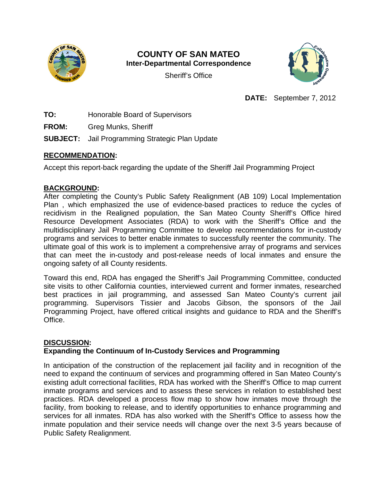

# **COUNTY OF SAN MATEO Inter-Departmental Correspondence**

Sheriff's Office



**DATE:** September 7, 2012

**TO:** Honorable Board of Supervisors

**FROM:** Greg Munks, Sheriff

**SUBJECT:** Jail Programming Strategic Plan Update

### **RECOMMENDATION:**

Accept this report-back regarding the update of the Sheriff Jail Programming Project

### **BACKGROUND:**

After completing the County's Public Safety Realignment (AB 109) Local Implementation Plan , which emphasized the use of evidence-based practices to reduce the cycles of recidivism in the Realigned population, the San Mateo County Sheriff's Office hired Resource Development Associates (RDA) to work with the Sheriff's Office and the multidisciplinary Jail Programming Committee to develop recommendations for in-custody programs and services to better enable inmates to successfully reenter the community. The ultimate goal of this work is to implement a comprehensive array of programs and services that can meet the in-custody and post-release needs of local inmates and ensure the ongoing safety of all County residents.

Toward this end, RDA has engaged the Sheriff's Jail Programming Committee, conducted site visits to other California counties, interviewed current and former inmates, researched best practices in jail programming, and assessed San Mateo County's current jail programming. Supervisors Tissier and Jacobs Gibson, the sponsors of the Jail Programming Project, have offered critical insights and guidance to RDA and the Sheriff's Office.

## **DISCUSSION:**

## **Expanding the Continuum of In-Custody Services and Programming**

In anticipation of the construction of the replacement jail facility and in recognition of the need to expand the continuum of services and programming offered in San Mateo County's existing adult correctional facilities, RDA has worked with the Sheriff's Office to map current inmate programs and services and to assess these services in relation to established best practices. RDA developed a process flow map to show how inmates move through the facility, from booking to release, and to identify opportunities to enhance programming and services for all inmates. RDA has also worked with the Sheriff's Office to assess how the inmate population and their service needs will change over the next 3‐5 years because of Public Safety Realignment.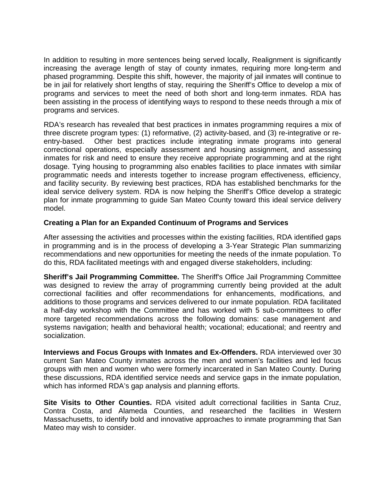In addition to resulting in more sentences being served locally, Realignment is significantly increasing the average length of stay of county inmates, requiring more long-term and phased programming. Despite this shift, however, the majority of jail inmates will continue to be in jail for relatively short lengths of stay, requiring the Sheriff's Office to develop a mix of programs and services to meet the need of both short and long-term inmates. RDA has been assisting in the process of identifying ways to respond to these needs through a mix of programs and services.

RDA's research has revealed that best practices in inmates programming requires a mix of three discrete program types: (1) reformative, (2) activity-based, and (3) re-integrative or reentry-based. Other best practices include integrating inmate programs into general correctional operations, especially assessment and housing assignment, and assessing inmates for risk and need to ensure they receive appropriate programming and at the right dosage. Tying housing to programming also enables facilities to place inmates with similar programmatic needs and interests together to increase program effectiveness, efficiency, and facility security. By reviewing best practices, RDA has established benchmarks for the ideal service delivery system. RDA is now helping the Sheriff's Office develop a strategic plan for inmate programming to guide San Mateo County toward this ideal service delivery model.

#### **Creating a Plan for an Expanded Continuum of Programs and Services**

After assessing the activities and processes within the existing facilities, RDA identified gaps in programming and is in the process of developing a 3-Year Strategic Plan summarizing recommendations and new opportunities for meeting the needs of the inmate population. To do this, RDA facilitated meetings with and engaged diverse stakeholders, including:

**Sheriff's Jail Programming Committee.** The Sheriff's Office Jail Programming Committee was designed to review the array of programming currently being provided at the adult correctional facilities and offer recommendations for enhancements, modifications, and additions to those programs and services delivered to our inmate population. RDA facilitated a half-day workshop with the Committee and has worked with 5 sub-committees to offer more targeted recommendations across the following domains: case management and systems navigation; health and behavioral health; vocational; educational; and reentry and socialization.

**Interviews and Focus Groups with Inmates and Ex-Offenders.** RDA interviewed over 30 current San Mateo County inmates across the men and women's facilities and led focus groups with men and women who were formerly incarcerated in San Mateo County. During these discussions, RDA identified service needs and service gaps in the inmate population, which has informed RDA's gap analysis and planning efforts.

**Site Visits to Other Counties.** RDA visited adult correctional facilities in Santa Cruz, Contra Costa, and Alameda Counties, and researched the facilities in Western Massachusetts, to identify bold and innovative approaches to inmate programming that San Mateo may wish to consider.